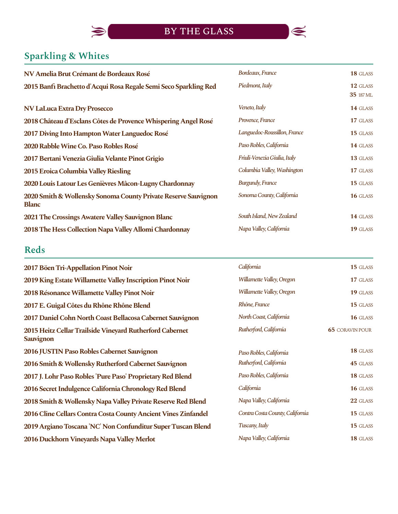

# **Sparkling & Whites**

 $\blacktriangleright$ 

| NV Amelia Brut Crémant de Bordeaux Rosé                                        | Bordeaux, France             | 18 GLASS              |
|--------------------------------------------------------------------------------|------------------------------|-----------------------|
| 2015 Banfi Brachetto d'Acqui Rosa Regale Semi Seco Sparkling Red               | Piedmont, Italy              | 12 GLASS<br>35 187 ML |
| <b>NV LaLuca Extra Dry Prosecco</b>                                            | Veneto, Italy                | 14 GLASS              |
| 2018 Château d'Esclans Côtes de Provence Whispering Angel Rosé                 | Provence, France             | 17 GLASS              |
| 2017 Diving Into Hampton Water Languedoc Rosé                                  | Languedoc-Roussillon, France | 15 GLASS              |
| 2020 Rabble Wine Co. Paso Robles Rosé                                          | Paso Robles, California      | 14 GLASS              |
| 2017 Bertani Venezia Giulia Velante Pinot Grigio                               | Friuli-Venezia Giulia, Italy | 13 GLASS              |
| 2015 Eroica Columbia Valley Riesling                                           | Columbia Valley, Washington  | 17 GLASS              |
| 2020 Louis Latour Les Genièvres Mâcon-Lugny Chardonnay                         | <b>Burgundy, France</b>      | 15 GLASS              |
| 2020 Smith & Wollensky Sonoma County Private Reserve Sauvignon<br><b>Blanc</b> | Sonoma County, California    | 16 GLASS              |
| 2021 The Crossings Awatere Valley Sauvignon Blanc                              | South Island, New Zealand    | 14 GLASS              |
| 2018 The Hess Collection Napa Valley Allomi Chardonnay                         | Napa Valley, California      | 19 GLASS              |

## **Reds**

| California                      | 15 GLASS               |
|---------------------------------|------------------------|
| Willamette Valley, Oregon       | 17 GLASS               |
| Willamette Valley, Oregon       | 19 GLASS               |
| Rhône, France                   | 15 GLASS               |
| North Coast, California         | 16 GLASS               |
| Rutherford, California          | <b>65 CORAVIN POUR</b> |
| Paso Robles, California         | 18 GLASS               |
| Rutherford, California          | 45 GLASS               |
| Paso Robles, California         | 18 GLASS               |
| California                      | 16 GLASS               |
| Napa Valley, California         | 22 GLASS               |
| Contra Costa County, California | 15 GLASS               |
| Tuscany, Italy                  | 15 GLASS               |
| Napa Valley, California         | 18 GLASS               |
|                                 |                        |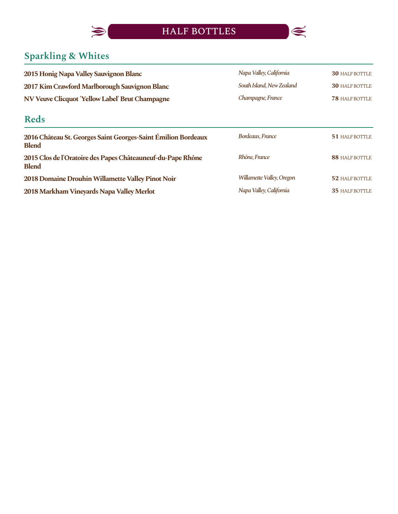



# **Sparkling & Whites**

| 2015 Honig Napa Valley Sauvignon Blanc                                        | Napa Valley, California   | <b>30 HALF BOTTLE</b> |
|-------------------------------------------------------------------------------|---------------------------|-----------------------|
| 2017 Kim Crawford Marlborough Sauvignon Blanc                                 | South Island, New Zealand | <b>30 HALF BOTTLE</b> |
| NV Veuve Clicquot 'Yellow Label' Brut Champagne                               | Champagne, France         | <b>78 HALF BOTTLE</b> |
| <b>Reds</b>                                                                   |                           |                       |
| 2016 Château St. Georges Saint Georges-Saint Émilion Bordeaux<br><b>Blend</b> | Bordeaux, France          | <b>51 HALF BOTTLE</b> |
| 2015 Clos de l'Oratoire des Papes Châteauneuf-du-Pape Rhône<br><b>Blend</b>   | Rhône, France             | 88 HALF BOTTLE        |
| 2018 Domaine Drouhin Willamette Valley Pinot Noir                             | Willamette Valley, Oregon | 52 HALF BOTTLE        |
| 2018 Markham Vineyards Napa Valley Merlot                                     | Napa Valley, California   | <b>35 HALF BOTTLE</b> |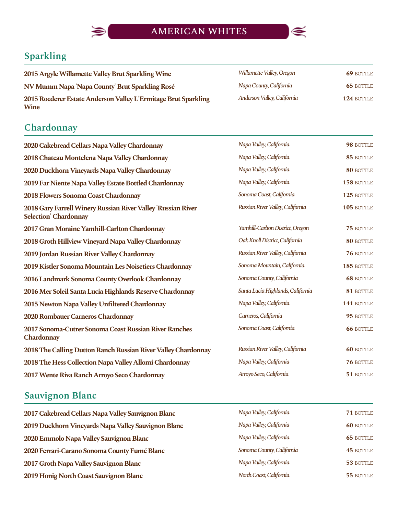

# **Sparkling**

 $\blacklozenge$ 

| 2015 Argyle Willamette Valley Brut Sparkling Wine                      | Willamette Valley, Oregon   | <b>69 BOTTLE</b> |
|------------------------------------------------------------------------|-----------------------------|------------------|
| NV Mumm Napa 'Napa County' Brut Sparkling Rosé                         | Napa County, California     | <b>65 BOTTLE</b> |
| 2015 Roederer Estate Anderson Valley L'Ermitage Brut Sparkling<br>Wine | Anderson Valley, California | 124 BOTTLE       |

## **Chardonnay**

| 2020 Cakebread Cellars Napa Valley Chardonnay                                                | Napa Valley, California           | 98 BOTTLE        |
|----------------------------------------------------------------------------------------------|-----------------------------------|------------------|
| 2018 Chateau Montelena Napa Valley Chardonnay                                                | Napa Valley, California           | 85 BOTTLE        |
| 2020 Duckhorn Vineyards Napa Valley Chardonnay                                               | Napa Valley, California           | 80 BOTTLE        |
| 2019 Far Niente Napa Valley Estate Bottled Chardonnay                                        | Napa Valley, California           | 158 BOTTLE       |
| 2018 Flowers Sonoma Coast Chardonnay                                                         | Sonoma Coast, California          | 125 BOTTLE       |
| 2018 Gary Farrell Winery Russian River Valley 'Russian River<br><b>Selection' Chardonnay</b> | Russian River Valley, California  | 105 BOTTLE       |
| 2017 Gran Moraine Yamhill-Carlton Chardonnay                                                 | Yamhill-Carlton District, Oregon  | 75 BOTTLE        |
| 2018 Groth Hillview Vineyard Napa Valley Chardonnay                                          | Oak Knoll District, California    | 80 BOTTLE        |
| 2019 Jordan Russian River Valley Chardonnay                                                  | Russian River Valley, California  | 76 BOTTLE        |
| 2019 Kistler Sonoma Mountain Les Noisetiers Chardonnay                                       | Sonoma Mountain, California       | 185 BOTTLE       |
| 2016 Landmark Sonoma County Overlook Chardonnay                                              | Sonoma County, California         | <b>68 BOTTLE</b> |
| 2016 Mer Soleil Santa Lucia Highlands Reserve Chardonnay                                     | Santa Lucia Highlands, California | 81 BOTTLE        |
| 2015 Newton Napa Valley Unfiltered Chardonnay                                                | Napa Valley, California           | 141 BOTTLE       |
| 2020 Rombauer Carneros Chardonnay                                                            | Carneros, California              | 95 BOTTLE        |
| 2017 Sonoma-Cutrer Sonoma Coast Russian River Ranches<br>Chardonnay                          | Sonoma Coast, California          | <b>66 BOTTLE</b> |
| 2018 The Calling Dutton Ranch Russian River Valley Chardonnay                                | Russian River Valley, California  | <b>60 BOTTLE</b> |
| 2018 The Hess Collection Napa Valley Allomi Chardonnay                                       | Napa Valley, California           | 76 BOTTLE        |
| 2017 Wente Riva Ranch Arroyo Seco Chardonnay                                                 | Arroyo Seco, California           | 51 BOTTLE        |

# **Sauvignon Blanc**

| 2017 Cakebread Cellars Napa Valley Sauvignon Blanc  | Napa Valley, California   | 71 BOTTLE        |
|-----------------------------------------------------|---------------------------|------------------|
| 2019 Duckhorn Vineyards Napa Valley Sauvignon Blanc | Napa Valley, California   | <b>60 BOTTLE</b> |
| 2020 Emmolo Napa Valley Sauvignon Blanc             | Napa Valley, California   | <b>65 BOTTLE</b> |
| 2020 Ferrari-Carano Sonoma County Fumé Blanc        | Sonoma County, California | <b>45 BOTTLE</b> |
| 2017 Groth Napa Valley Sauvignon Blanc              | Napa Valley, California   | 53 BOTTLE        |
| 2019 Honig North Coast Sauvignon Blanc              | North Coast, California   | 55 BOTTLE        |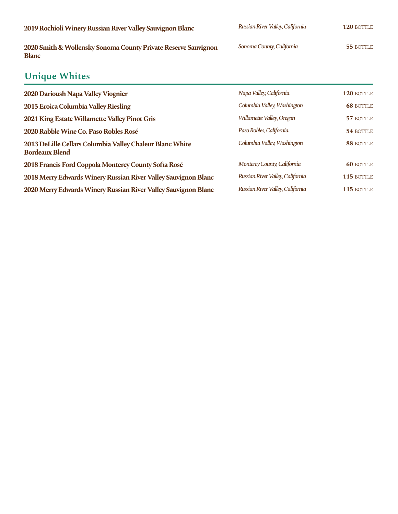| 2019 Rochioli Winery Russian River Valley Sauvignon Blanc                      | Russian River Valley, California | 120 BOTTLE |
|--------------------------------------------------------------------------------|----------------------------------|------------|
| 2020 Smith & Wollensky Sonoma County Private Reserve Sauvignon<br><b>Blanc</b> | Sonoma County, California        | 55 BOTTLE  |
| <b>Unique Whites</b>                                                           |                                  |            |
| 2020 Darioush Napa Valley Viognier                                             | Napa Valley, California          | 120 BOTTLE |

| 2015 Eroica Columbia Valley Riesling                                              | Columbia Valley, Washington      | <b>68 BOTTLE</b> |
|-----------------------------------------------------------------------------------|----------------------------------|------------------|
| 2021 King Estate Willamette Valley Pinot Gris                                     | Willamette Valley, Oregon        | 57 BOTTLE        |
| 2020 Rabble Wine Co. Paso Robles Rosé                                             | Paso Robles, California          | 54 BOTTLE        |
| 2013 DeLille Cellars Columbia Valley Chaleur Blanc White<br><b>Bordeaux Blend</b> | Columbia Valley, Washington      | 88 BOTTLE        |
| 2018 Francis Ford Coppola Monterey County Sofia Rosé                              | Monterey County, California      | <b>60 BOTTLE</b> |
| 2018 Merry Edwards Winery Russian River Valley Sauvignon Blanc                    | Russian River Valley, California | 115 BOTTLE       |
| 2020 Merry Edwards Winery Russian River Valley Sauvignon Blanc                    | Russian River Valley, California | 115 BOTTLE       |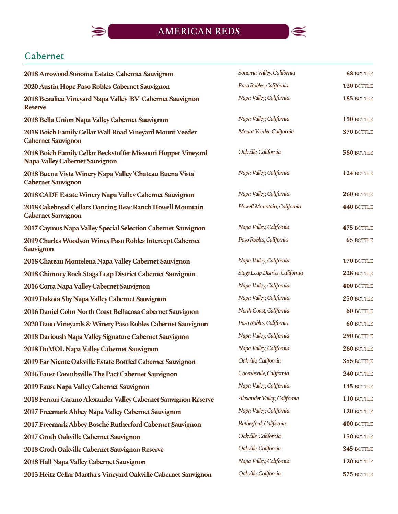

## **Cabernet**

| 2018 Arrowood Sonoma Estates Cabernet Sauvignon                                                 | Sonoma Valley, California       | <b>68 BOTTLE</b> |
|-------------------------------------------------------------------------------------------------|---------------------------------|------------------|
| 2020 Austin Hope Paso Robles Cabernet Sauvignon                                                 | Paso Robles, California         | 120 BOTTLE       |
| 2018 Beaulieu Vineyard Napa Valley 'BV' Cabernet Sauvignon<br><b>Reserve</b>                    | Napa Valley, California         | 185 BOTTLE       |
| 2018 Bella Union Napa Valley Cabernet Sauvignon                                                 | Napa Valley, California         | 150 BOTTLE       |
| 2018 Boich Family Cellar Wall Road Vineyard Mount Veeder<br><b>Cabernet Sauvignon</b>           | Mount Veeder, California        | 370 BOTTLE       |
| 2018 Boich Family Cellar Beckstoffer Missouri Hopper Vineyard<br>Napa Valley Cabernet Sauvignon | Oakville, California            | 580 BOTTLE       |
| 2018 Buena Vista Winery Napa Valley 'Chateau Buena Vista'<br><b>Cabernet Sauvignon</b>          | Napa Valley, California         | 124 BOTTLE       |
| 2018 CADE Estate Winery Napa Valley Cabernet Sauvignon                                          | Napa Valley, California         | 260 BOTTLE       |
| 2018 Cakebread Cellars Dancing Bear Ranch Howell Mountain<br><b>Cabernet Sauvignon</b>          | Howell Mountain, California     | 440 BOTTLE       |
| 2017 Caymus Napa Valley Special Selection Cabernet Sauvignon                                    | Napa Valley, California         | 475 BOTTLE       |
| 2019 Charles Woodson Wines Paso Robles Intercept Cabernet<br><b>Sauvignon</b>                   | Paso Robles, California         | <b>65 BOTTLE</b> |
| 2018 Chateau Montelena Napa Valley Cabernet Sauvignon                                           | Napa Valley, California         | 170 BOTTLE       |
| 2018 Chimney Rock Stags Leap District Cabernet Sauvignon                                        | Stags Leap District, California | 228 BOTTLE       |
| 2016 Corra Napa Valley Cabernet Sauvignon                                                       | Napa Valley, California         | 400 BOTTLE       |
| 2019 Dakota Shy Napa Valley Cabernet Sauvignon                                                  | Napa Valley, California         | 250 BOTTLE       |
| 2016 Daniel Cohn North Coast Bellacosa Cabernet Sauvignon                                       | North Coast, California         | <b>60 BOTTLE</b> |
| 2020 Daou Vineyards & Winery Paso Robles Cabernet Sauvignon                                     | Paso Robles, California         | <b>60 BOTTLE</b> |
| 2018 Darioush Napa Valley Signature Cabernet Sauvignon                                          | Napa Valley, California         | 290 BOTTLE       |
| 2018 DuMOL Napa Valley Cabernet Sauvignon                                                       | Napa Valley, California         | 260 BOTTLE       |
| 2019 Far Niente Oakville Estate Bottled Cabernet Sauvignon                                      | Oakville, California            | 355 BOTTLE       |
| 2016 Faust Coombsville The Pact Cabernet Sauvignon                                              | Coombsville, California         | 240 BOTTLE       |
| 2019 Faust Napa Valley Cabernet Sauvignon                                                       | Napa Valley, California         | 145 BOTTLE       |
| 2018 Ferrari-Carano Alexander Valley Cabernet Sauvignon Reserve                                 | Alexander Valley, California    | 110 BOTTLE       |
| 2017 Freemark Abbey Napa Valley Cabernet Sauvignon                                              | Napa Valley, California         | 120 BOTTLE       |
| 2017 Freemark Abbey Bosché Rutherford Cabernet Sauvignon                                        | Rutherford, California          | 400 BOTTLE       |
| 2017 Groth Oakville Cabernet Sauvignon                                                          | Oakville, California            | 150 BOTTLE       |
| 2018 Groth Oakville Cabernet Sauvignon Reserve                                                  | Oakville, California            | 345 BOTTLE       |
| 2018 Hall Napa Valley Cabernet Sauvignon                                                        | Napa Valley, California         | 120 BOTTLE       |
| 2015 Heitz Cellar Martha's Vineyard Oakville Cabernet Sauvignon                                 | Oakville, California            | 575 BOTTLE       |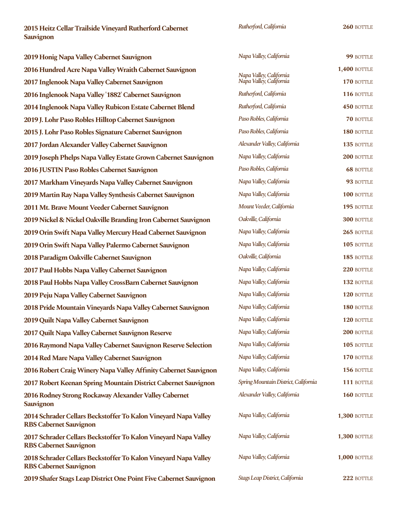**2015HeitzCellarTrailsideVineyardRutherfordCabernet Sauvignon**

*Rutherford,California*

**260** BOTTLE

| 2019 Honig Napa Valley Cabernet Sauvignon                                                        | Napa Valley, California                            | 99 BOTTLE           |
|--------------------------------------------------------------------------------------------------|----------------------------------------------------|---------------------|
| 2016 Hundred Acre Napa Valley Wraith Cabernet Sauvignon                                          |                                                    | <b>1,400 BOTTLE</b> |
| 2017 Inglenook Napa Valley Cabernet Sauvignon                                                    | Napa Valley, California<br>Napa Valley, California | 170 BOTTLE          |
| 2016 Inglenook Napa Valley '1882' Cabernet Sauvignon                                             | Rutherford, California                             | 116 BOTTLE          |
| 2014 Inglenook Napa Valley Rubicon Estate Cabernet Blend                                         | Rutherford, California                             | 450 BOTTLE          |
| 2019 J. Lohr Paso Robles Hilltop Cabernet Sauvignon                                              | Paso Robles, California                            | 70 BOTTLE           |
| 2015 J. Lohr Paso Robles Signature Cabernet Sauvignon                                            | Paso Robles, California                            | 180 BOTTLE          |
| 2017 Jordan Alexander Valley Cabernet Sauvignon                                                  | Alexander Valley, California                       | 135 BOTTLE          |
| 2019 Joseph Phelps Napa Valley Estate Grown Cabernet Sauvignon                                   | Napa Valley, California                            | 200 BOTTLE          |
| 2016 JUSTIN Paso Robles Cabernet Sauvignon                                                       | Paso Robles, California                            | <b>68 BOTTLE</b>    |
| 2017 Markham Vineyards Napa Valley Cabernet Sauvignon                                            | Napa Valley, California                            | 93 BOTTLE           |
| 2019 Martin Ray Napa Valley Synthesis Cabernet Sauvignon                                         | Napa Valley, California                            | 100 BOTTLE          |
| 2011 Mt. Brave Mount Veeder Cabernet Sauvignon                                                   | Mount Veeder, California                           | 195 BOTTLE          |
| 2019 Nickel & Nickel Oakville Branding Iron Cabernet Sauvignon                                   | Oakville, California                               | 300 BOTTLE          |
| 2019 Orin Swift Napa Valley Mercury Head Cabernet Sauvignon                                      | Napa Valley, California                            | 265 BOTTLE          |
| 2019 Orin Swift Napa Valley Palermo Cabernet Sauvignon                                           | Napa Valley, California                            | 105 BOTTLE          |
| 2018 Paradigm Oakville Cabernet Sauvignon                                                        | Oakville, California                               | 185 BOTTLE          |
| 2017 Paul Hobbs Napa Valley Cabernet Sauvignon                                                   | Napa Valley, California                            | 220 BOTTLE          |
| 2018 Paul Hobbs Napa Valley CrossBarn Cabernet Sauvignon                                         | Napa Valley, California                            | 132 BOTTLE          |
| 2019 Peju Napa Valley Cabernet Sauvignon                                                         | Napa Valley, California                            | 120 BOTTLE          |
| 2018 Pride Mountain Vineyards Napa Valley Cabernet Sauvignon                                     | Napa Valley, California                            | 180 BOTTLE          |
| 2019 Quilt Napa Valley Cabernet Sauvignon                                                        | Napa Valley, California                            | 120 BOTTLE          |
| 2017 Quilt Napa Valley Cabernet Sauvignon Reserve                                                | Napa Valley, California                            | 200 BOTTLE          |
| 2016 Raymond Napa Valley Cabernet Sauvignon Reserve Selection                                    | Napa Valley, California                            | 105 BOTTLE          |
| 2014 Red Mare Napa Valley Cabernet Sauvignon                                                     | Napa Valley, California                            | 170 BOTTLE          |
| 2016 Robert Craig Winery Napa Valley Affinity Cabernet Sauvignon                                 | Napa Valley, California                            | 156 BOTTLE          |
| 2017 Robert Keenan Spring Mountain District Cabernet Sauvignon                                   | Spring Mountain District, California               | 111 BOTTLE          |
| 2016 Rodney Strong Rockaway Alexander Valley Cabernet<br><b>Sauvignon</b>                        | Alexander Valley, California                       | 160 BOTTLE          |
| 2014 Schrader Cellars Beckstoffer To Kalon Vineyard Napa Valley<br><b>RBS Cabernet Sauvignon</b> | Napa Valley, California                            | <b>1,300 BOTTLE</b> |
| 2017 Schrader Cellars Beckstoffer To Kalon Vineyard Napa Valley<br><b>RBS Cabernet Sauvignon</b> | Napa Valley, California                            | <b>1,300 BOTTLE</b> |
| 2018 Schrader Cellars Beckstoffer To Kalon Vineyard Napa Valley<br><b>RBS Cabernet Sauvignon</b> | Napa Valley, California                            | <b>1,000 BOTTLE</b> |
| 2019 Shafer Stags Leap District One Point Five Cabernet Sauvignon                                | Stags Leap District, California                    | 222 BOTTLE          |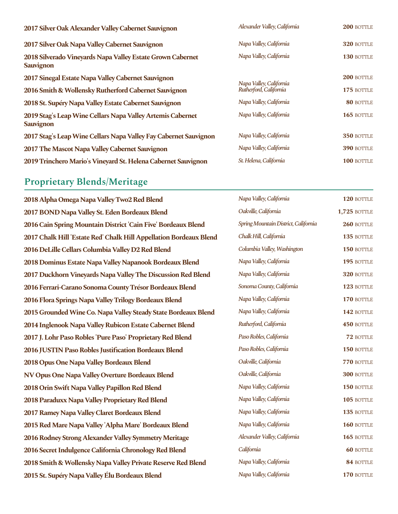| 2017 Silver Oak Alexander Valley Cabernet Sauvignon                            | Alexander Valley, California | 200 BOTTLE |
|--------------------------------------------------------------------------------|------------------------------|------------|
| 2017 Silver Oak Napa Valley Cabernet Sauvignon                                 | Napa Valley, California      | 320 BOTTLE |
| 2018 Silverado Vineyards Napa Valley Estate Grown Cabernet<br><b>Sauvignon</b> | Napa Valley, California      | 130 BOTTLE |
| 2017 Sinegal Estate Napa Valley Cabernet Sauvignon                             | Napa Valley, California      | 200 BOTTLE |
| 2016 Smith & Wollensky Rutherford Cabernet Sauvignon                           | Rutherford, California       | 175 BOTTLE |
| 2018 St. Supéry Napa Valley Estate Cabernet Sauvignon                          | Napa Valley, California      | 80 BOTTLE  |
| 2019 Stag's Leap Wine Cellars Napa Valley Artemis Cabernet<br><b>Sauvignon</b> | Napa Valley, California      | 165 BOTTLE |
| 2017 Stag's Leap Wine Cellars Napa Valley Fay Cabernet Sauvignon               | Napa Valley, California      | 350 BOTTLE |
| 2017 The Mascot Napa Valley Cabernet Sauvignon                                 | Napa Valley, California      | 390 BOTTLE |
| 2019 Trinchero Mario's Vineyard St. Helena Cabernet Sauvignon                  | St. Helena, California       | 100 BOTTLE |

#### **Proprietary Blends/Meritage**

2018 Alpha Omega Napa Valley Two2 Red Blend **2017 BOND Napa Valley St. Eden Bordeaux Blend 2016 Cain Spring Mountain District 'Cain Five' Bordeaux Blend** 2017 Chalk Hill 'Estate Red' Chalk Hill Appellation Bordeaux Blend **2016 DeLille Cellars Columbia Valley D2 Red Blend 2018 Dominus Estate Napa Valley Napanook Bordeaux Blend 2017 Duckhorn Vineyards Napa Valley The Discussion Red Blend 2016 Ferrari-Carano Sonoma County Trésor Bordeaux Blend 2016 Flora Springs Napa Valley Trilogy Bordeaux Blend** 2015 Grounded Wine Co. Napa Valley Steady State Bordeaux Blend **2014 Inglenook Napa Valley Rubicon Estate Cabernet Blend** 2017 J. Lohr Paso Robles 'Pure Paso' Proprietary Red Blend **2016 JUSTIN Paso Robles Justification Bordeaux Blend 2018 Opus One Napa Valley Bordeaux Blend NV Opus One Napa Valley Overture Bordeaux Blend 2018 Orin Swift Napa Valley Papillon Red Blend 2018 Paraduxx Napa Valley Proprietary Red Blend 2017 Ramey Napa Valley Claret Bordeaux Blend** 2015 Red Mare Napa Valley 'Alpha Mare' Bordeaux Blend **2016 Rodney Strong Alexander Valley Symmetry Meritage 2016 Secret Indulgence California Chronology Red Blend 2018 Smith & Wollensky Napa Valley Private Reserve Red Blend** 2015 St. Supéry Napa Valley Élu Bordeaux Blend

| $\ldots$                                          |                   |
|---------------------------------------------------|-------------------|
| Napa Valley, California                           | 320 BOTTLE        |
| Napa Valley, California                           | <b>130 BOTTLE</b> |
|                                                   |                   |
|                                                   | 200 BOTTLE        |
| Napa Valley, California<br>Rutherford, California | 175 BOTTLE        |
| Napa Valley, California                           | 80 BOTTLE         |
| Napa Valley, California                           | $165$ bottle      |
|                                                   |                   |
| Napa Valley, California                           | 350 BOTTLE        |
| Napa Valley, California                           | <b>390 BOTTLE</b> |
| St. Helena, California                            | <b>100 BOTTLE</b> |
|                                                   |                   |

| Napa Valley, California              | 120 BOTTLE          |
|--------------------------------------|---------------------|
| Oakville, California                 | <b>1,725 BOTTLE</b> |
| Spring Mountain District, California | 260 BOTTLE          |
| Chalk Hill, California               | 135 BOTTLE          |
| Columbia Valley, Washington          | 150 BOTTLE          |
| Napa Valley, California              | 195 BOTTLE          |
| Napa Valley, California              | 320 BOTTLE          |
| Sonoma County, California            | 123 BOTTLE          |
| Napa Valley, California              | 170 BOTTLE          |
| Napa Valley, California              | 142 BOTTLE          |
| Rutherford, California               | 450 BOTTLE          |
| Paso Robles, California              | 72 BOTTLE           |
| Paso Robles, California              | 150 BOTTLE          |
| Oakville, California                 | 770 BOTTLE          |
| Oakville, California                 | <b>300 BOTTLE</b>   |
| Napa Valley, California              | 150 BOTTLE          |
| Napa Valley, California              | 105 BOTTLE          |
| Napa Valley, California              | 135 BOTTLE          |
| Napa Valley, California              | 160 BOTTLE          |
| Alexander Valley, California         | 165 BOTTLE          |
| California                           | <b>60 BOTTLE</b>    |
| Napa Valley, California              | 84 BOTTLE           |
| Napa Valley, California              | 170 BOTTLE          |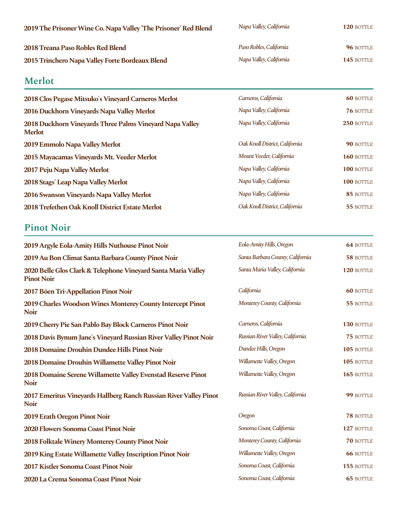| 2019 The Prisoner Wine Co. Napa Valley 'The Prisoner' Red Blend | Napa Valley, California | 120 BOTTLE |
|-----------------------------------------------------------------|-------------------------|------------|
| 2018 Treana Paso Robles Red Blend                               | Paso Robles, California | 96 BOTTLE  |
| 2015 Trinchero Napa Valley Forte Bordeaux Blend                 | Napa Valley, California | 145 BOTTLE |

### **Merlot**

| 2018 Clos Pegase Mitsuko's Vineyard Carneros Merlot                       | Carneros, California           | <b>60 BOTTLE</b> |
|---------------------------------------------------------------------------|--------------------------------|------------------|
| 2016 Duckhorn Vineyards Napa Valley Merlot                                | Napa Valley, California        | 76 BOTTLE        |
| 2018 Duckhorn Vineyards Three Palms Vineyard Napa Valley<br><b>Merlot</b> | Napa Valley, California        | 250 BOTTLE       |
| 2019 Emmolo Napa Valley Merlot                                            | Oak Knoll District, California | 90 BOTTLE        |
| 2015 Mayacamas Vineyards Mt. Veeder Merlot                                | Mount Veeder, California       | 160 BOTTLE       |
| 2017 Peju Napa Valley Merlot                                              | Napa Valley, California        | 100 BOTTLE       |
| 2018 Stags' Leap Napa Valley Merlot                                       | Napa Valley, California        | 100 BOTTLE       |
| 2016 Swanson Vineyards Napa Valley Merlot                                 | Napa Valley, California        | 85 BOTTLE        |
| 2018 Trefethen Oak Knoll District Estate Merlot                           | Oak Knoll District, California | 55 BOTTLE        |

## **Pinot Noir**

| 2019 Argyle Eola-Amity Hills Nuthouse Pinot Noir                                   | Eola-Amity Hills, Oregon         | <b>64 BOTTLE</b> |
|------------------------------------------------------------------------------------|----------------------------------|------------------|
| 2019 Au Bon Climat Santa Barbara County Pinot Noir                                 | Santa Barbara County, California | 58 BOTTLE        |
| 2020 Belle Glos Clark & Telephone Vineyard Santa Maria Valley<br><b>Pinot Noir</b> | Santa Maria Valley, California   | 120 BOTTLE       |
| 2017 Böen Tri-Appellation Pinot Noir                                               | California                       | <b>60 BOTTLE</b> |
| 2019 Charles Woodson Wines Monterey County Intercept Pinot<br><b>Noir</b>          | Monterey County, California      | 55 BOTTLE        |
| 2019 Cherry Pie San Pablo Bay Block Carneros Pinot Noir                            | Carneros, California             | 130 BOTTLE       |
| 2018 Davis Bynum Jane's Vineyard Russian River Valley Pinot Noir                   | Russian River Valley, California | 75 BOTTLE        |
| 2018 Domaine Drouhin Dundee Hills Pinot Noir                                       | Dundee Hills, Oregon             | 105 BOTTLE       |
| 2018 Domaine Drouhin Willamette Valley Pinot Noir                                  | Willamette Valley, Oregon        | 105 BOTTLE       |
| 2018 Domaine Serene Willamette Valley Evenstad Reserve Pinot<br><b>Noir</b>        | Willamette Valley, Oregon        | 165 BOTTLE       |
| 2017 Emeritus Vineyards Hallberg Ranch Russian River Valley Pinot<br><b>Noir</b>   | Russian River Valley, California | 99 BOTTLE        |
| 2019 Erath Oregon Pinot Noir                                                       | Oregon                           | 78 BOTTLE        |
| 2020 Flowers Sonoma Coast Pinot Noir                                               | Sonoma Coast, California         | 127 BOTTLE       |
| 2018 Folktale Winery Monterey County Pinot Noir                                    | Monterey County, California      | 70 BOTTLE        |
| 2019 King Estate Willamette Valley Inscription Pinot Noir                          | Willamette Valley, Oregon        | <b>66 BOTTLE</b> |
| 2017 Kistler Sonoma Coast Pinot Noir                                               | Sonoma Coast, California         | 155 BOTTLE       |
| 2020 La Crema Sonoma Coast Pinot Noir                                              | Sonoma Coast, California         | <b>65 BOTTLE</b> |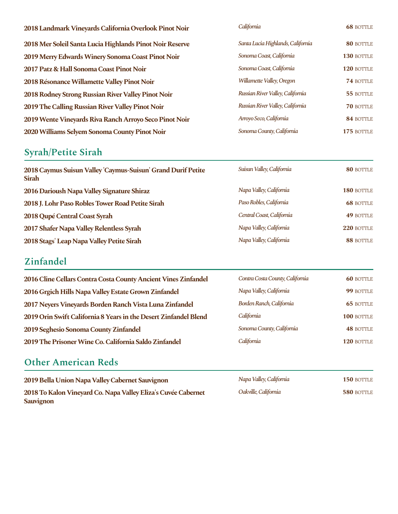| 2018 Landmark Vineyards California Overlook Pinot Noir   | California                        | <b>68 BOTTLE</b> |
|----------------------------------------------------------|-----------------------------------|------------------|
| 2018 Mer Soleil Santa Lucia Highlands Pinot Noir Reserve | Santa Lucia Highlands, California | 80 BOTTLE        |
| 2019 Merry Edwards Winery Sonoma Coast Pinot Noir        | Sonoma Coast, California          | 130 BOTTLE       |
| 2017 Patz & Hall Sonoma Coast Pinot Noir                 | Sonoma Coast, California          | 120 BOTTLE       |
| 2018 Résonance Willamette Valley Pinot Noir              | Willamette Valley, Oregon         | 74 BOTTLE        |
| 2018 Rodney Strong Russian River Valley Pinot Noir       | Russian River Valley, California  | 55 BOTTLE        |
| 2019 The Calling Russian River Valley Pinot Noir         | Russian River Valley, California  | <b>70 BOTTLE</b> |
| 2019 Wente Vineyards Riva Ranch Arroyo Seco Pinot Noir   | Arroyo Seco, California           | 84 BOTTLE        |
| 2020 Williams Selyem Sonoma County Pinot Noir            | Sonoma County, California         | 175 BOTTLE       |

# **Syrah/Petite Sirah**

| 2018 Caymus Suisun Valley 'Caymus-Suisun' Grand Durif Petite<br><b>Sirah</b> | Suisun Valley, California | 80 BOTTLE         |
|------------------------------------------------------------------------------|---------------------------|-------------------|
| 2016 Darioush Napa Valley Signature Shiraz                                   | Napa Valley, California   | <b>180 BOTTLE</b> |
| 2018 J. Lohr Paso Robles Tower Road Petite Sirah                             | Paso Robles, California   | <b>68 BOTTLE</b>  |
| 2018 Qupé Central Coast Syrah                                                | Central Coast, California | <b>49 BOTTLE</b>  |
| 2017 Shafer Napa Valley Relentless Syrah                                     | Napa Valley, California   | $220$ BOTTLE      |
| 2018 Stags' Leap Napa Valley Petite Sirah                                    | Napa Valley, California   | 88 BOTTLE         |

### **Zinfandel**

| 2016 Cline Cellars Contra Costa County Ancient Vines Zinfandel   | Contra Costa County, California | <b>60 BOTTLE</b> |
|------------------------------------------------------------------|---------------------------------|------------------|
| 2016 Grgich Hills Napa Valley Estate Grown Zinfandel             | Napa Valley, California         | 99 BOTTLE        |
| 2017 Neyers Vineyards Borden Ranch Vista Luna Zinfandel          | Borden Ranch, California        | <b>65 BOTTLE</b> |
| 2019 Orin Swift California 8 Years in the Desert Zinfandel Blend | California                      | 100 BOTTLE       |
| 2019 Seghesio Sonoma County Zinfandel                            | Sonoma County, California       | <b>48 BOTTLE</b> |
| 2019 The Prisoner Wine Co. California Saldo Zinfandel            | California                      | 120 BOTTLE       |

#### **Other American Reds**

| 2019 Bella Union Napa Valley Cabernet Sauvignon               | Napa Valley, California | <b>150 BOTTLE</b> |
|---------------------------------------------------------------|-------------------------|-------------------|
| 2018 To Kalon Vineyard Co. Napa Valley Eliza's Cuvée Cabernet | Oakville, California    | 580 BOTTLE        |
| <b>Sauvignon</b>                                              |                         |                   |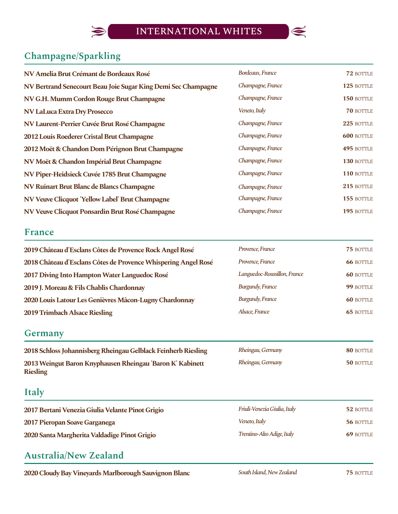

# **Champagne/Sparkling**

| NV Amelia Brut Crémant de Bordeaux Rosé                       | Bordeaux, France  | 72 BOTTLE         |
|---------------------------------------------------------------|-------------------|-------------------|
| NV Bertrand Senecourt Beau Joie Sugar King Demi Sec Champagne | Champagne, France | 125 BOTTLE        |
| NV G.H. Mumm Cordon Rouge Brut Champagne                      | Champagne, France | 150 BOTTLE        |
| <b>NV LaLuca Extra Dry Prosecco</b>                           | Veneto, Italy     | <b>70 BOTTLE</b>  |
| NV Laurent-Perrier Cuvée Brut Rosé Champagne                  | Champagne, France | 225 BOTTLE        |
| 2012 Louis Roederer Cristal Brut Champagne                    | Champagne, France | <b>600 BOTTLE</b> |
| 2012 Moët & Chandon Dom Pérignon Brut Champagne               | Champagne, France | 495 BOTTLE        |
| NV Moët & Chandon Impérial Brut Champagne                     | Champagne, France | 130 BOTTLE        |
| NV Piper-Heidsieck Cuvée 1785 Brut Champagne                  | Champagne, France | 110 BOTTLE        |
| NV Ruinart Brut Blanc de Blancs Champagne                     | Champagne, France | 215 BOTTLE        |
| NV Veuve Clicquot 'Yellow Label' Brut Champagne               | Champagne, France | 155 BOTTLE        |
| NV Veuve Clicquot Ponsardin Brut Rosé Champagne               | Champagne, France | 195 BOTTLE        |

#### **France**

| 2019 Château d'Esclans Côtes de Provence Rock Angel Rosé       | Provence, France             | 75 BOTTLE        |
|----------------------------------------------------------------|------------------------------|------------------|
| 2018 Château d'Esclans Côtes de Provence Whispering Angel Rosé | Provence, France             | <b>66 BOTTLE</b> |
| 2017 Diving Into Hampton Water Languedoc Rosé                  | Languedoc-Roussillon, France | <b>60 BOTTLE</b> |
| 2019 J. Moreau & Fils Chablis Chardonnay                       | <b>Burgundy, France</b>      | 99 BOTTLE        |
| 2020 Louis Latour Les Genièvres Mâcon-Lugny Chardonnay         | <b>Burgundy, France</b>      | <b>60 BOTTLE</b> |
| <b>2019 Trimbach Alsace Riesling</b>                           | Alsace, France               | <b>65 BOTTLE</b> |

#### **Germany**

| 2018 Schloss Johannisberg Rheingau Gelblack Feinherb Riesling | Rheingau, Germany | 80 BOTTLE |
|---------------------------------------------------------------|-------------------|-----------|
| 2013 Weingut Baron Knyphausen Rheingau 'Baron K' Kabinett     | Rheingau, Germany | 50 BOTTLE |
| <b>Riesling</b>                                               |                   |           |

#### **Italy**

| 2017 Bertani Venezia Giulia Velante Pinot Grigio | Friuli-Venezia Giulia, Italy | 52 BOTTLE |
|--------------------------------------------------|------------------------------|-----------|
| 2017 Pieropan Soave Garganega                    | Veneto, Italy                | 56 BOTTLE |
| 2020 Santa Margherita Valdadige Pinot Grigio     | Trentino-Alto Adige, Italy   | 69 BOTTLE |

### **Australia/New Zealand**

**2020 Cloudy Bay Vineyards Marlborough Sauvignon Blanc** *South Island, New Zealand* **75** BOTTLE

| $L = \frac{1}{2}$       |                  |
|-------------------------|------------------|
| <b>Burgundy, France</b> | <b>60 BOTTLE</b> |
| Alsace, France          | <b>65 BOTTLE</b> |
|                         |                  |
|                         |                  |
| Rheingau, Germany       | 80 BOTTLE        |
| Rheingau, Germany       | 50 BOTTLE        |

South Island, New Zealand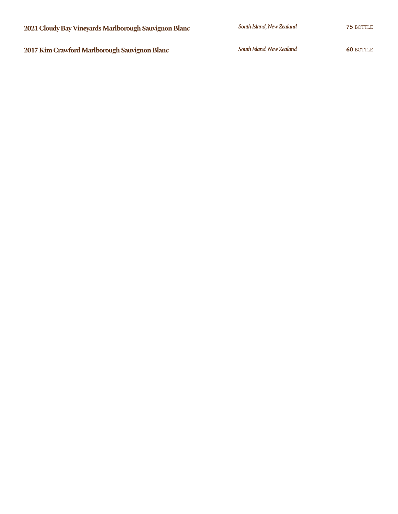**2017 Kim Crawford Marlborough Sauvignon Blanc 60** South Island, New Zealand **60** BOTTLE

South Island, New Zealand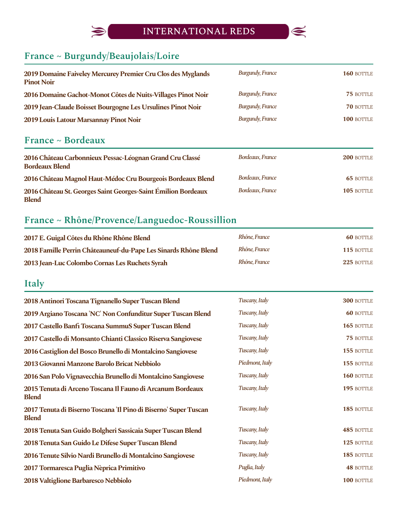## INTERNATIONAL REDS



# **France ~ Burgundy/Beaujolais/Loire**

 $\bigotimes$ 

| 2019 Domaine Faiveley Mercurey Premier Cru Clos des Myglands<br><b>Pinot Noir</b> | <b>Burgundy, France</b> | 160 BOTTLE |
|-----------------------------------------------------------------------------------|-------------------------|------------|
| 2016 Domaine Gachot-Monot Côtes de Nuits-Villages Pinot Noir                      | <b>Burgundy, France</b> | 75 BOTTLE  |
| 2019 Jean-Claude Boisset Bourgogne Les Ursulines Pinot Noir                       | <b>Burgundy, France</b> | 70 BOTTLE  |
| 2019 Louis Latour Marsannay Pinot Noir                                            | <b>Burgundy, France</b> | 100 BOTTLE |

#### **France ~ Bordeaux**

| 2016 Château Carbonnieux Pessac-Léognan Grand Cru Classé<br><b>Bordeaux Blend</b> | Bordeaux, France | <b>200 BOTTLE</b> |
|-----------------------------------------------------------------------------------|------------------|-------------------|
| 2016 Château Magnol Haut-Médoc Cru Bourgeois Bordeaux Blend                       | Bordeaux, France | <b>65 BOTTLE</b>  |
| 2016 Château St. Georges Saint Georges-Saint Émilion Bordeaux<br><b>Blend</b>     | Bordeaux, France | 105 BOTTLE        |

### **France ~ Rhône/Provence/Languedoc-Roussillion**

| 2017 E. Guigal Côtes du Rhône Rhône Blend                       | Rhône, France | <b>60 BOTTLE</b>  |
|-----------------------------------------------------------------|---------------|-------------------|
| 2018 Famille Perrin Châteauneuf-du-Pape Les Sinards Rhône Blend | Rhône, France | <b>115 BOTTLE</b> |
| 2013 Jean-Luc Colombo Cornas Les Ruchets Syrah                  | Rhône, France | $225$ bottle      |

# **Italy**

| Tuscany, Italy  | 300 BOTTLE       |
|-----------------|------------------|
| Tuscany, Italy  | <b>60 BOTTLE</b> |
| Tuscany, Italy  | 165 BOTTLE       |
| Tuscany, Italy  | 75 BOTTLE        |
| Tuscany, Italy  | 155 BOTTLE       |
| Piedmont, Italy | 155 BOTTLE       |
| Tuscany, Italy  | 160 BOTTLE       |
| Tuscany, Italy  | 195 BOTTLE       |
| Tuscany, Italy  | 185 BOTTLE       |
| Tuscany, Italy  | 485 BOTTLE       |
| Tuscany, Italy  | 125 BOTTLE       |
| Tuscany, Italy  | 185 BOTTLE       |
| Puglia, Italy   | <b>48 BOTTLE</b> |
| Piedmont, Italy | 100 BOTTLE       |
|                 |                  |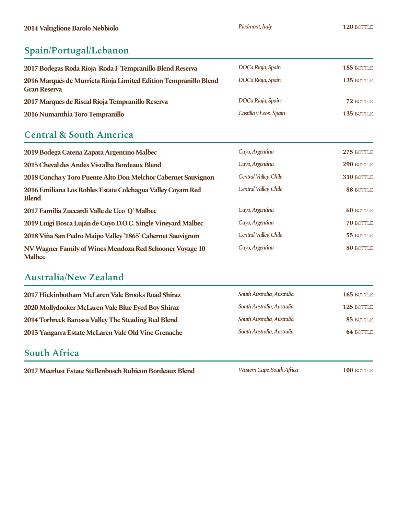# **Spain/Portugal/Lebanon**

| 2017 Bodegas Roda Rioja 'Roda I' Tempranillo Blend Reserva                              | DOCa Rioja, Spain      | 185 BOTTLE |
|-----------------------------------------------------------------------------------------|------------------------|------------|
| 2016 Marqués de Murrieta Rioja Limited Edition Tempranillo Blend<br><b>Gran Reserva</b> | DOCa Rioja, Spain      | 135 BOTTLE |
| 2017 Marqués de Riscal Rioja Tempranillo Reserva                                        | DOCa Rioja, Spain      | 72 BOTTLE  |
| 2016 Numanthia Toro Tempranillo                                                         | Castilla y León, Spain | 135 BOTTLE |

### **Central & South America**

| 2019 Bodega Catena Zapata Argentino Malbec                                 | Cuyo, Argentina       | 275 BOTTLE       |
|----------------------------------------------------------------------------|-----------------------|------------------|
| 2015 Cheval des Andes Vistalba Bordeaux Blend                              | Cuyo, Argentina       | 290 BOTTLE       |
| 2018 Concha y Toro Puente Alto Don Melchor Cabernet Sauvignon              | Central Valley, Chile | 310 BOTTLE       |
| 2016 Emiliana Los Robles Estate Colchagua Valley Coyam Red<br><b>Blend</b> | Central Valley, Chile | 88 BOTTLE        |
| 2017 Familia Zuccardi Valle de Uco 'Q' Malbec                              | Cuyo, Argentina       | <b>60 BOTTLE</b> |
|                                                                            |                       |                  |
| 2019 Luigi Bosca Luján de Cuyo D.O.C. Single Vineyard Malbec               | Cuyo, Argentina       | 70 BOTTLE        |
| 2018 Viña San Pedro Maipo Valley '1865' Cabernet Sauvignon                 | Central Valley, Chile | 55 BOTTLE        |

### **Australia/New Zealand**

| 2017 Hickinbotham McLaren Vale Brooks Road Shiraz   | South Australia, Australia | 165 BOTTLE       |
|-----------------------------------------------------|----------------------------|------------------|
| 2020 Mollydooker McLaren Vale Blue Eyed Boy Shiraz  | South Australia, Australia | 125 BOTTLE       |
| 2014 Torbreck Barossa Valley The Steading Red Blend | South Australia, Australia | 85 BOTTLE        |
| 2015 Yangarra Estate McLaren Vale Old Vine Grenache | South Australia, Australia | <b>64 BOTTLE</b> |

#### **South Africa**

**2017 Meerlust Estate Stellenbosch Rubicon Bordeaux Blend** Western Cape, South Africa 100 BOTTLE

*WesternCape,SouthAfrica*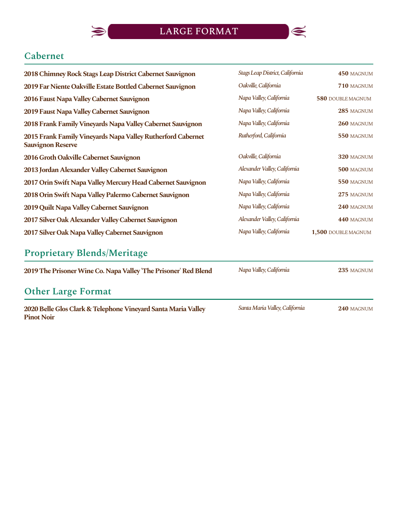

### **Cabernet**

| 2018 Chimney Rock Stags Leap District Cabernet Sauvignon                                | Stags Leap District, California | 450 MAGNUM          |
|-----------------------------------------------------------------------------------------|---------------------------------|---------------------|
| 2019 Far Niente Oakville Estate Bottled Cabernet Sauvignon                              | Oakville, California            | 710 MAGNUM          |
| 2016 Faust Napa Valley Cabernet Sauvignon                                               | Napa Valley, California         | 580 DOUBLE MAGNUM   |
| 2019 Faust Napa Valley Cabernet Sauvignon                                               | Napa Valley, California         | 285 MAGNUM          |
| 2018 Frank Family Vineyards Napa Valley Cabernet Sauvignon                              | Napa Valley, California         | 260 MAGNUM          |
| 2015 Frank Family Vineyards Napa Valley Rutherford Cabernet<br><b>Sauvignon Reserve</b> | Rutherford, California          | 550 MAGNUM          |
| 2016 Groth Oakville Cabernet Sauvignon                                                  | Oakville, California            | 320 MAGNUM          |
| 2013 Jordan Alexander Valley Cabernet Sauvignon                                         | Alexander Valley, California    | 500 MAGNUM          |
| 2017 Orin Swift Napa Valley Mercury Head Cabernet Sauvignon                             | Napa Valley, California         | 550 MAGNUM          |
| 2018 Orin Swift Napa Valley Palermo Cabernet Sauvignon                                  | Napa Valley, California         | 275 MAGNUM          |
| 2019 Quilt Napa Valley Cabernet Sauvignon                                               | Napa Valley, California         | 240 MAGNUM          |
| 2017 Silver Oak Alexander Valley Cabernet Sauvignon                                     | Alexander Valley, California    | 440 MAGNUM          |
| 2017 Silver Oak Napa Valley Cabernet Sauvignon                                          | Napa Valley, California         | 1,500 DOUBLE MAGNUM |
|                                                                                         |                                 |                     |

# **Proprietary Blends/Meritage**

 $\blacklozenge$ 

| 2019 The Prisoner Wine Co. Napa Valley 'The Prisoner' Red Blend                    | Napa Valley, California        | 235 MAGNUM |
|------------------------------------------------------------------------------------|--------------------------------|------------|
| <b>Other Large Format</b>                                                          |                                |            |
| 2020 Belle Glos Clark & Telephone Vineyard Santa Maria Valley<br><b>Pinot Noir</b> | Santa Maria Valley, California | 240 MAGNUM |